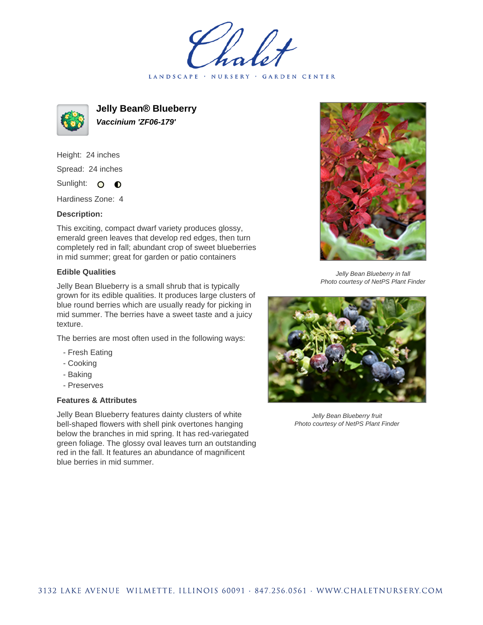LANDSCAPE · NURSERY · GARDEN CENTER



**Jelly Bean® Blueberry Vaccinium 'ZF06-179'**

Height: 24 inches Spread: 24 inches Sunlight: O **O** 

Hardiness Zone: 4

## **Description:**

This exciting, compact dwarf variety produces glossy, emerald green leaves that develop red edges, then turn completely red in fall; abundant crop of sweet blueberries in mid summer; great for garden or patio containers

## **Edible Qualities**

Jelly Bean Blueberry is a small shrub that is typically grown for its edible qualities. It produces large clusters of blue round berries which are usually ready for picking in mid summer. The berries have a sweet taste and a juicy texture.

The berries are most often used in the following ways:

- Fresh Eating
- Cooking
- Baking
- Preserves

## **Features & Attributes**

Jelly Bean Blueberry features dainty clusters of white bell-shaped flowers with shell pink overtones hanging below the branches in mid spring. It has red-variegated green foliage. The glossy oval leaves turn an outstanding red in the fall. It features an abundance of magnificent blue berries in mid summer.



Jelly Bean Blueberry in fall Photo courtesy of NetPS Plant Finder



Jelly Bean Blueberry fruit Photo courtesy of NetPS Plant Finder